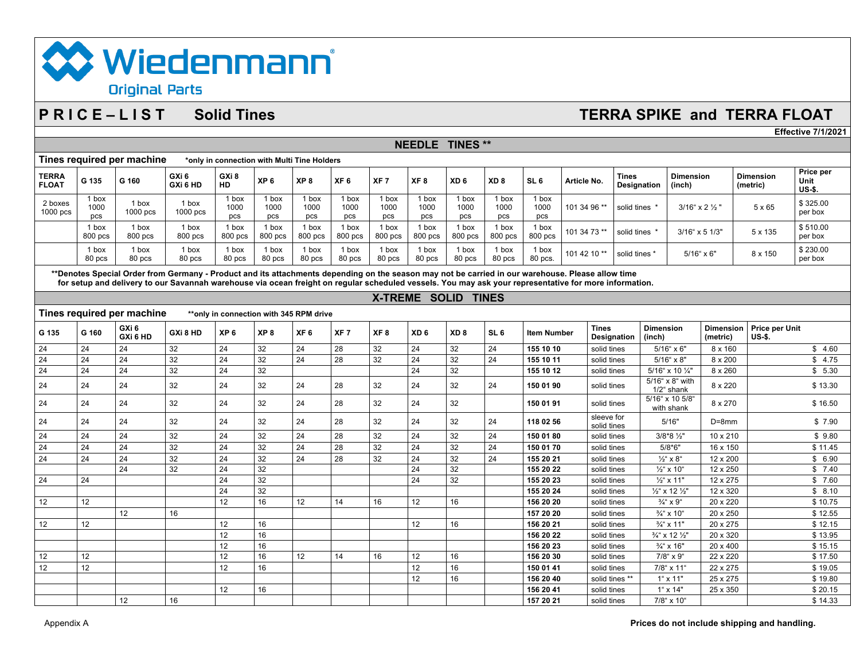# **X** Wiedenmann **Original Parts**

# **P R I C E – L I S T Solid Tines TERRA SPIKE and TERRA FLOAT**

**Effective 7/1/2021**

| GXi <sub>6</sub><br>GXi 8<br><b>TERRA</b><br><b>Tines</b><br><b>Dimension</b><br>XP <sub>6</sub><br>XP <sub>8</sub><br>XF <sub>7</sub><br>XF <sub>8</sub><br>XD <sub>8</sub><br>G 135<br>G 160<br>XF <sub>6</sub><br>XD <sub>6</sub><br>SL <sub>6</sub><br>Article No.<br>GXi 6 HD<br>HD<br><b>FLOAT</b><br><b>Designation</b><br>(inch)<br>1 box<br>1 box<br>1 box<br>1 box<br>1 box<br>1 box<br>1 box<br>1 box<br>1 box<br>1 box<br>2 boxes<br>1 box<br>1 box<br>1000<br>1000<br>1000<br>101 34 96 **<br>3/16" x 2 1/2 "<br>1000<br>1000<br>1000<br>1000<br>1000<br>1000<br>1000<br>solid tines *<br>1000 pcs<br>1000 pcs<br>$1000$ pcs<br>pcs<br>pcs<br>pcs<br>pcs<br>pcs<br>pcs<br>pcs<br>pcs<br>pcs<br>pcs<br>1 box<br>1 box<br>1 box<br>1 box<br>1 box<br>1 box<br>1 box<br>1 box<br>1 box<br>1 box<br>1 box<br>1 box<br>101 34 73 **<br>solid tines *<br>$3/16$ " x 5 $1/3$ "<br>800 pcs<br>800 pcs<br>800 pcs<br>800 pcs<br>800 pcs<br>800 pcs<br>800 pcs<br>800 pcs<br>800 pcs<br>800 pcs<br>800 pcs<br>800 pcs<br>1 box<br>1 box<br>1 box<br>1 box<br>1 box<br>1 box<br>1 box<br>1 box<br>1 box<br>1 box<br>1 box<br>1 box<br>101 42 10**<br>solid tines *<br>$5/16$ " x 6"<br>80 pcs<br>80 pcs<br>80 pcs<br>80 pcs<br>80 pcs<br>80 pcs<br>80 pcs<br>80 pcs<br>80 pcs<br>80 pcs<br>80 pcs.<br>80 pcs<br>**Denotes Special Order from Germany - Product and its attachments depending on the season may not be carried in our warehouse. Please allow time<br>for setup and delivery to our Savannah warehouse via ocean freight on regular scheduled vessels. You may ask your representative for more information.<br>X-TREME SOLID TINES<br>Tines required per machine<br>**only in connection with 345 RPM drive<br>GXi 6<br><b>Tines</b><br><b>Dimension</b><br><b>Dimension</b><br>G 160<br>GXi 8 HD<br>XP <sub>6</sub><br>XP <sub>8</sub><br>XF <sub>8</sub><br>XD <sub>6</sub><br>XD <sub>8</sub><br>SL <sub>6</sub><br>XF <sub>6</sub><br>XF <sub>7</sub><br><b>Item Number</b><br>G 135<br>GXi 6 HD<br><b>Designation</b><br>(metric)<br>(inch)<br>24<br>32<br>24<br>32<br>24<br>32<br>24<br>32<br>24<br>24<br>24<br>28<br>155 10 10<br>$5/16$ " x 6"<br>8 x 160<br>solid tines<br>24<br>32<br>24<br>32<br>24<br>28<br>32<br>24<br>32<br>24<br>24<br>24<br>155 10 11<br>$5/16$ " x 8"<br>$8 \times 200$<br>solid tines<br>24<br>32<br>32<br>24<br>32<br>24<br>24<br>24<br>155 10 12<br>5/16" x 10 1/4"<br>8 x 260<br>solid tines<br>5/16" x 8" with<br>32<br>24<br>32<br>24<br>24<br>24<br>24<br>28<br>32<br>32<br>24<br>8 x 220<br>24<br>150 01 90<br>solid tines<br>1/2" shank<br>5/16" x 10 5/8"<br>32<br>24<br>24<br>32<br>24<br>32<br>24<br>24<br>28<br>32<br>150 01 91<br>8 x 270<br>24<br>solid tines<br>with shank<br>sleeve for<br>32<br>32<br>32<br>24<br>24<br>24<br>24<br>28<br>24<br>32<br>24<br>118 02 56<br>5/16"<br>24<br>$D = 8$ mm<br>solid tines<br>32<br>24<br>32<br>24<br>24<br>24<br>24<br>32<br>32<br>24<br>28<br>24<br>150 01 80<br>3/8*8 1/2"<br>10 x 210<br>solid tines<br>24<br>24<br>32<br>24<br>32<br>24<br>32<br>24<br>32<br>24<br>28<br>24<br>$5/8*6"$<br>150 01 70<br>solid tines<br>16 x 150<br>32<br>32<br>$\overline{24}$<br>24<br>32<br>24<br>24<br>28<br>24<br>24<br>32<br>24<br>155 20 21<br>solid tines<br>$\frac{1}{2}$ " x 8"<br>12 x 200<br>24<br>32<br>24<br>32<br>24<br>32<br>155 20 22<br>solid tines<br>$\frac{1}{2}$ " x 10"<br>12 x 250<br>32<br>24<br>24<br>32<br>24<br>24<br>155 20 23<br>12 x 275<br>solid tines<br>$\frac{1}{2}$ " x 11"<br>24<br>32<br>155 20 24<br>$\frac{1}{2}$ " x 12 $\frac{1}{2}$ "<br>12 x 320<br>solid tines<br>12<br>12<br>16<br>12<br>16<br>12<br>12 <sup>2</sup><br>156 20 20<br>20 x 220<br>14<br>16<br>solid tines<br>$\frac{3}{4}$ " x 9"<br>12<br>16<br>157 20 20<br>solid tines<br>$\frac{3}{4}$ " x 10"<br>20 x 250 | Tines required per machine<br>*only in connection with Multi Tine Holders |  |  |  |  |  |  |  |  |  |  |  |  |  |  |
|-----------------------------------------------------------------------------------------------------------------------------------------------------------------------------------------------------------------------------------------------------------------------------------------------------------------------------------------------------------------------------------------------------------------------------------------------------------------------------------------------------------------------------------------------------------------------------------------------------------------------------------------------------------------------------------------------------------------------------------------------------------------------------------------------------------------------------------------------------------------------------------------------------------------------------------------------------------------------------------------------------------------------------------------------------------------------------------------------------------------------------------------------------------------------------------------------------------------------------------------------------------------------------------------------------------------------------------------------------------------------------------------------------------------------------------------------------------------------------------------------------------------------------------------------------------------------------------------------------------------------------------------------------------------------------------------------------------------------------------------------------------------------------------------------------------------------------------------------------------------------------------------------------------------------------------------------------------------------------------------------------------------------------------------------------------------------------------------------------------------------------------------------------------------------------------------------------------------------------------------------------------------------------------------------------------------------------------------------------------------------------------------------------------------------------------------------------------------------------------------------------------------------------------------------------------------------------------------------------------------------------------------------------------------------------------------------------------------------------------------------------------------------------------------------------------------------------------------------------------------------------------------------------------------------------------------------------------------------------------------------------------------------------------------------------------------------------------------------------------------------------------------------------------------------------------------------------------------------------------------------------------------------------------------------------------------------------------------------------------------------------------------------------------------------------------------------------------------------------------------------------------------------------------------------------------------------------------------------------------------------------------------------------------------------------------------------------------------------------------------------------------------------------------------------------------------------------|---------------------------------------------------------------------------|--|--|--|--|--|--|--|--|--|--|--|--|--|--|
|                                                                                                                                                                                                                                                                                                                                                                                                                                                                                                                                                                                                                                                                                                                                                                                                                                                                                                                                                                                                                                                                                                                                                                                                                                                                                                                                                                                                                                                                                                                                                                                                                                                                                                                                                                                                                                                                                                                                                                                                                                                                                                                                                                                                                                                                                                                                                                                                                                                                                                                                                                                                                                                                                                                                                                                                                                                                                                                                                                                                                                                                                                                                                                                                                                                                                                                                                                                                                                                                                                                                                                                                                                                                                                                                                                                                                             | Price per<br><b>Dimension</b><br>Unit<br>(metric)<br><b>US-\$.</b>        |  |  |  |  |  |  |  |  |  |  |  |  |  |  |
|                                                                                                                                                                                                                                                                                                                                                                                                                                                                                                                                                                                                                                                                                                                                                                                                                                                                                                                                                                                                                                                                                                                                                                                                                                                                                                                                                                                                                                                                                                                                                                                                                                                                                                                                                                                                                                                                                                                                                                                                                                                                                                                                                                                                                                                                                                                                                                                                                                                                                                                                                                                                                                                                                                                                                                                                                                                                                                                                                                                                                                                                                                                                                                                                                                                                                                                                                                                                                                                                                                                                                                                                                                                                                                                                                                                                                             | \$325.00<br>5 x 65<br>per box                                             |  |  |  |  |  |  |  |  |  |  |  |  |  |  |
|                                                                                                                                                                                                                                                                                                                                                                                                                                                                                                                                                                                                                                                                                                                                                                                                                                                                                                                                                                                                                                                                                                                                                                                                                                                                                                                                                                                                                                                                                                                                                                                                                                                                                                                                                                                                                                                                                                                                                                                                                                                                                                                                                                                                                                                                                                                                                                                                                                                                                                                                                                                                                                                                                                                                                                                                                                                                                                                                                                                                                                                                                                                                                                                                                                                                                                                                                                                                                                                                                                                                                                                                                                                                                                                                                                                                                             | \$510.00<br>$5 \times 135$<br>per box                                     |  |  |  |  |  |  |  |  |  |  |  |  |  |  |
|                                                                                                                                                                                                                                                                                                                                                                                                                                                                                                                                                                                                                                                                                                                                                                                                                                                                                                                                                                                                                                                                                                                                                                                                                                                                                                                                                                                                                                                                                                                                                                                                                                                                                                                                                                                                                                                                                                                                                                                                                                                                                                                                                                                                                                                                                                                                                                                                                                                                                                                                                                                                                                                                                                                                                                                                                                                                                                                                                                                                                                                                                                                                                                                                                                                                                                                                                                                                                                                                                                                                                                                                                                                                                                                                                                                                                             | \$230.00<br>$8 \times 150$<br>per box                                     |  |  |  |  |  |  |  |  |  |  |  |  |  |  |
|                                                                                                                                                                                                                                                                                                                                                                                                                                                                                                                                                                                                                                                                                                                                                                                                                                                                                                                                                                                                                                                                                                                                                                                                                                                                                                                                                                                                                                                                                                                                                                                                                                                                                                                                                                                                                                                                                                                                                                                                                                                                                                                                                                                                                                                                                                                                                                                                                                                                                                                                                                                                                                                                                                                                                                                                                                                                                                                                                                                                                                                                                                                                                                                                                                                                                                                                                                                                                                                                                                                                                                                                                                                                                                                                                                                                                             |                                                                           |  |  |  |  |  |  |  |  |  |  |  |  |  |  |
|                                                                                                                                                                                                                                                                                                                                                                                                                                                                                                                                                                                                                                                                                                                                                                                                                                                                                                                                                                                                                                                                                                                                                                                                                                                                                                                                                                                                                                                                                                                                                                                                                                                                                                                                                                                                                                                                                                                                                                                                                                                                                                                                                                                                                                                                                                                                                                                                                                                                                                                                                                                                                                                                                                                                                                                                                                                                                                                                                                                                                                                                                                                                                                                                                                                                                                                                                                                                                                                                                                                                                                                                                                                                                                                                                                                                                             |                                                                           |  |  |  |  |  |  |  |  |  |  |  |  |  |  |
|                                                                                                                                                                                                                                                                                                                                                                                                                                                                                                                                                                                                                                                                                                                                                                                                                                                                                                                                                                                                                                                                                                                                                                                                                                                                                                                                                                                                                                                                                                                                                                                                                                                                                                                                                                                                                                                                                                                                                                                                                                                                                                                                                                                                                                                                                                                                                                                                                                                                                                                                                                                                                                                                                                                                                                                                                                                                                                                                                                                                                                                                                                                                                                                                                                                                                                                                                                                                                                                                                                                                                                                                                                                                                                                                                                                                                             |                                                                           |  |  |  |  |  |  |  |  |  |  |  |  |  |  |
|                                                                                                                                                                                                                                                                                                                                                                                                                                                                                                                                                                                                                                                                                                                                                                                                                                                                                                                                                                                                                                                                                                                                                                                                                                                                                                                                                                                                                                                                                                                                                                                                                                                                                                                                                                                                                                                                                                                                                                                                                                                                                                                                                                                                                                                                                                                                                                                                                                                                                                                                                                                                                                                                                                                                                                                                                                                                                                                                                                                                                                                                                                                                                                                                                                                                                                                                                                                                                                                                                                                                                                                                                                                                                                                                                                                                                             | Price per Unit<br>US-\$.                                                  |  |  |  |  |  |  |  |  |  |  |  |  |  |  |
|                                                                                                                                                                                                                                                                                                                                                                                                                                                                                                                                                                                                                                                                                                                                                                                                                                                                                                                                                                                                                                                                                                                                                                                                                                                                                                                                                                                                                                                                                                                                                                                                                                                                                                                                                                                                                                                                                                                                                                                                                                                                                                                                                                                                                                                                                                                                                                                                                                                                                                                                                                                                                                                                                                                                                                                                                                                                                                                                                                                                                                                                                                                                                                                                                                                                                                                                                                                                                                                                                                                                                                                                                                                                                                                                                                                                                             | \$4.60                                                                    |  |  |  |  |  |  |  |  |  |  |  |  |  |  |
|                                                                                                                                                                                                                                                                                                                                                                                                                                                                                                                                                                                                                                                                                                                                                                                                                                                                                                                                                                                                                                                                                                                                                                                                                                                                                                                                                                                                                                                                                                                                                                                                                                                                                                                                                                                                                                                                                                                                                                                                                                                                                                                                                                                                                                                                                                                                                                                                                                                                                                                                                                                                                                                                                                                                                                                                                                                                                                                                                                                                                                                                                                                                                                                                                                                                                                                                                                                                                                                                                                                                                                                                                                                                                                                                                                                                                             | \$4.75                                                                    |  |  |  |  |  |  |  |  |  |  |  |  |  |  |
|                                                                                                                                                                                                                                                                                                                                                                                                                                                                                                                                                                                                                                                                                                                                                                                                                                                                                                                                                                                                                                                                                                                                                                                                                                                                                                                                                                                                                                                                                                                                                                                                                                                                                                                                                                                                                                                                                                                                                                                                                                                                                                                                                                                                                                                                                                                                                                                                                                                                                                                                                                                                                                                                                                                                                                                                                                                                                                                                                                                                                                                                                                                                                                                                                                                                                                                                                                                                                                                                                                                                                                                                                                                                                                                                                                                                                             | \$5.30                                                                    |  |  |  |  |  |  |  |  |  |  |  |  |  |  |
|                                                                                                                                                                                                                                                                                                                                                                                                                                                                                                                                                                                                                                                                                                                                                                                                                                                                                                                                                                                                                                                                                                                                                                                                                                                                                                                                                                                                                                                                                                                                                                                                                                                                                                                                                                                                                                                                                                                                                                                                                                                                                                                                                                                                                                                                                                                                                                                                                                                                                                                                                                                                                                                                                                                                                                                                                                                                                                                                                                                                                                                                                                                                                                                                                                                                                                                                                                                                                                                                                                                                                                                                                                                                                                                                                                                                                             | \$13.30                                                                   |  |  |  |  |  |  |  |  |  |  |  |  |  |  |
|                                                                                                                                                                                                                                                                                                                                                                                                                                                                                                                                                                                                                                                                                                                                                                                                                                                                                                                                                                                                                                                                                                                                                                                                                                                                                                                                                                                                                                                                                                                                                                                                                                                                                                                                                                                                                                                                                                                                                                                                                                                                                                                                                                                                                                                                                                                                                                                                                                                                                                                                                                                                                                                                                                                                                                                                                                                                                                                                                                                                                                                                                                                                                                                                                                                                                                                                                                                                                                                                                                                                                                                                                                                                                                                                                                                                                             | \$16.50                                                                   |  |  |  |  |  |  |  |  |  |  |  |  |  |  |
|                                                                                                                                                                                                                                                                                                                                                                                                                                                                                                                                                                                                                                                                                                                                                                                                                                                                                                                                                                                                                                                                                                                                                                                                                                                                                                                                                                                                                                                                                                                                                                                                                                                                                                                                                                                                                                                                                                                                                                                                                                                                                                                                                                                                                                                                                                                                                                                                                                                                                                                                                                                                                                                                                                                                                                                                                                                                                                                                                                                                                                                                                                                                                                                                                                                                                                                                                                                                                                                                                                                                                                                                                                                                                                                                                                                                                             | \$7.90                                                                    |  |  |  |  |  |  |  |  |  |  |  |  |  |  |
|                                                                                                                                                                                                                                                                                                                                                                                                                                                                                                                                                                                                                                                                                                                                                                                                                                                                                                                                                                                                                                                                                                                                                                                                                                                                                                                                                                                                                                                                                                                                                                                                                                                                                                                                                                                                                                                                                                                                                                                                                                                                                                                                                                                                                                                                                                                                                                                                                                                                                                                                                                                                                                                                                                                                                                                                                                                                                                                                                                                                                                                                                                                                                                                                                                                                                                                                                                                                                                                                                                                                                                                                                                                                                                                                                                                                                             | \$9.80                                                                    |  |  |  |  |  |  |  |  |  |  |  |  |  |  |
|                                                                                                                                                                                                                                                                                                                                                                                                                                                                                                                                                                                                                                                                                                                                                                                                                                                                                                                                                                                                                                                                                                                                                                                                                                                                                                                                                                                                                                                                                                                                                                                                                                                                                                                                                                                                                                                                                                                                                                                                                                                                                                                                                                                                                                                                                                                                                                                                                                                                                                                                                                                                                                                                                                                                                                                                                                                                                                                                                                                                                                                                                                                                                                                                                                                                                                                                                                                                                                                                                                                                                                                                                                                                                                                                                                                                                             | \$11.45                                                                   |  |  |  |  |  |  |  |  |  |  |  |  |  |  |
|                                                                                                                                                                                                                                                                                                                                                                                                                                                                                                                                                                                                                                                                                                                                                                                                                                                                                                                                                                                                                                                                                                                                                                                                                                                                                                                                                                                                                                                                                                                                                                                                                                                                                                                                                                                                                                                                                                                                                                                                                                                                                                                                                                                                                                                                                                                                                                                                                                                                                                                                                                                                                                                                                                                                                                                                                                                                                                                                                                                                                                                                                                                                                                                                                                                                                                                                                                                                                                                                                                                                                                                                                                                                                                                                                                                                                             | \$6.90                                                                    |  |  |  |  |  |  |  |  |  |  |  |  |  |  |
|                                                                                                                                                                                                                                                                                                                                                                                                                                                                                                                                                                                                                                                                                                                                                                                                                                                                                                                                                                                                                                                                                                                                                                                                                                                                                                                                                                                                                                                                                                                                                                                                                                                                                                                                                                                                                                                                                                                                                                                                                                                                                                                                                                                                                                                                                                                                                                                                                                                                                                                                                                                                                                                                                                                                                                                                                                                                                                                                                                                                                                                                                                                                                                                                                                                                                                                                                                                                                                                                                                                                                                                                                                                                                                                                                                                                                             | \$7.40                                                                    |  |  |  |  |  |  |  |  |  |  |  |  |  |  |
|                                                                                                                                                                                                                                                                                                                                                                                                                                                                                                                                                                                                                                                                                                                                                                                                                                                                                                                                                                                                                                                                                                                                                                                                                                                                                                                                                                                                                                                                                                                                                                                                                                                                                                                                                                                                                                                                                                                                                                                                                                                                                                                                                                                                                                                                                                                                                                                                                                                                                                                                                                                                                                                                                                                                                                                                                                                                                                                                                                                                                                                                                                                                                                                                                                                                                                                                                                                                                                                                                                                                                                                                                                                                                                                                                                                                                             | \$7.60                                                                    |  |  |  |  |  |  |  |  |  |  |  |  |  |  |
|                                                                                                                                                                                                                                                                                                                                                                                                                                                                                                                                                                                                                                                                                                                                                                                                                                                                                                                                                                                                                                                                                                                                                                                                                                                                                                                                                                                                                                                                                                                                                                                                                                                                                                                                                                                                                                                                                                                                                                                                                                                                                                                                                                                                                                                                                                                                                                                                                                                                                                                                                                                                                                                                                                                                                                                                                                                                                                                                                                                                                                                                                                                                                                                                                                                                                                                                                                                                                                                                                                                                                                                                                                                                                                                                                                                                                             | \$8.10                                                                    |  |  |  |  |  |  |  |  |  |  |  |  |  |  |
|                                                                                                                                                                                                                                                                                                                                                                                                                                                                                                                                                                                                                                                                                                                                                                                                                                                                                                                                                                                                                                                                                                                                                                                                                                                                                                                                                                                                                                                                                                                                                                                                                                                                                                                                                                                                                                                                                                                                                                                                                                                                                                                                                                                                                                                                                                                                                                                                                                                                                                                                                                                                                                                                                                                                                                                                                                                                                                                                                                                                                                                                                                                                                                                                                                                                                                                                                                                                                                                                                                                                                                                                                                                                                                                                                                                                                             | \$10.75                                                                   |  |  |  |  |  |  |  |  |  |  |  |  |  |  |
|                                                                                                                                                                                                                                                                                                                                                                                                                                                                                                                                                                                                                                                                                                                                                                                                                                                                                                                                                                                                                                                                                                                                                                                                                                                                                                                                                                                                                                                                                                                                                                                                                                                                                                                                                                                                                                                                                                                                                                                                                                                                                                                                                                                                                                                                                                                                                                                                                                                                                                                                                                                                                                                                                                                                                                                                                                                                                                                                                                                                                                                                                                                                                                                                                                                                                                                                                                                                                                                                                                                                                                                                                                                                                                                                                                                                                             | \$12.55                                                                   |  |  |  |  |  |  |  |  |  |  |  |  |  |  |
| 12<br>12<br>16<br>20 x 275<br>12<br>12<br>16<br>156 20 21<br>solid tines<br>$\frac{3}{4}$ " x 11"                                                                                                                                                                                                                                                                                                                                                                                                                                                                                                                                                                                                                                                                                                                                                                                                                                                                                                                                                                                                                                                                                                                                                                                                                                                                                                                                                                                                                                                                                                                                                                                                                                                                                                                                                                                                                                                                                                                                                                                                                                                                                                                                                                                                                                                                                                                                                                                                                                                                                                                                                                                                                                                                                                                                                                                                                                                                                                                                                                                                                                                                                                                                                                                                                                                                                                                                                                                                                                                                                                                                                                                                                                                                                                                           | \$12.15                                                                   |  |  |  |  |  |  |  |  |  |  |  |  |  |  |
| 16<br>12<br>156 20 22<br>20 x 320<br>solid tines<br>$\frac{3}{4}$ x 12 $\frac{1}{2}$                                                                                                                                                                                                                                                                                                                                                                                                                                                                                                                                                                                                                                                                                                                                                                                                                                                                                                                                                                                                                                                                                                                                                                                                                                                                                                                                                                                                                                                                                                                                                                                                                                                                                                                                                                                                                                                                                                                                                                                                                                                                                                                                                                                                                                                                                                                                                                                                                                                                                                                                                                                                                                                                                                                                                                                                                                                                                                                                                                                                                                                                                                                                                                                                                                                                                                                                                                                                                                                                                                                                                                                                                                                                                                                                        | \$13.95                                                                   |  |  |  |  |  |  |  |  |  |  |  |  |  |  |
| 16<br>12<br>156 20 23<br>solid tines<br>$\frac{3}{4}$ " x 16"<br>20 x 400                                                                                                                                                                                                                                                                                                                                                                                                                                                                                                                                                                                                                                                                                                                                                                                                                                                                                                                                                                                                                                                                                                                                                                                                                                                                                                                                                                                                                                                                                                                                                                                                                                                                                                                                                                                                                                                                                                                                                                                                                                                                                                                                                                                                                                                                                                                                                                                                                                                                                                                                                                                                                                                                                                                                                                                                                                                                                                                                                                                                                                                                                                                                                                                                                                                                                                                                                                                                                                                                                                                                                                                                                                                                                                                                                   | \$15.15                                                                   |  |  |  |  |  |  |  |  |  |  |  |  |  |  |
| 16<br>12<br>12<br>12<br>12<br>16<br>12<br>14<br>16<br>156 20 30<br>solid tines<br>$7/8$ " $\times$ 9"<br>22 x 220                                                                                                                                                                                                                                                                                                                                                                                                                                                                                                                                                                                                                                                                                                                                                                                                                                                                                                                                                                                                                                                                                                                                                                                                                                                                                                                                                                                                                                                                                                                                                                                                                                                                                                                                                                                                                                                                                                                                                                                                                                                                                                                                                                                                                                                                                                                                                                                                                                                                                                                                                                                                                                                                                                                                                                                                                                                                                                                                                                                                                                                                                                                                                                                                                                                                                                                                                                                                                                                                                                                                                                                                                                                                                                           | \$17.50                                                                   |  |  |  |  |  |  |  |  |  |  |  |  |  |  |
| 12<br>12<br>12<br>16<br>12<br>16<br>150 01 41<br>solid tines<br>7/8" x 11"<br>22 x 275                                                                                                                                                                                                                                                                                                                                                                                                                                                                                                                                                                                                                                                                                                                                                                                                                                                                                                                                                                                                                                                                                                                                                                                                                                                                                                                                                                                                                                                                                                                                                                                                                                                                                                                                                                                                                                                                                                                                                                                                                                                                                                                                                                                                                                                                                                                                                                                                                                                                                                                                                                                                                                                                                                                                                                                                                                                                                                                                                                                                                                                                                                                                                                                                                                                                                                                                                                                                                                                                                                                                                                                                                                                                                                                                      | \$19.05                                                                   |  |  |  |  |  |  |  |  |  |  |  |  |  |  |
| 12<br>16<br>156 20 40<br>solid tines **<br>25 x 275<br>$1^{\circ}$ x 11"                                                                                                                                                                                                                                                                                                                                                                                                                                                                                                                                                                                                                                                                                                                                                                                                                                                                                                                                                                                                                                                                                                                                                                                                                                                                                                                                                                                                                                                                                                                                                                                                                                                                                                                                                                                                                                                                                                                                                                                                                                                                                                                                                                                                                                                                                                                                                                                                                                                                                                                                                                                                                                                                                                                                                                                                                                                                                                                                                                                                                                                                                                                                                                                                                                                                                                                                                                                                                                                                                                                                                                                                                                                                                                                                                    | \$19.80                                                                   |  |  |  |  |  |  |  |  |  |  |  |  |  |  |
| 12<br>16<br>156 20 41<br>$1^{\circ}$ x 14"<br>25 x 350<br>solid tines                                                                                                                                                                                                                                                                                                                                                                                                                                                                                                                                                                                                                                                                                                                                                                                                                                                                                                                                                                                                                                                                                                                                                                                                                                                                                                                                                                                                                                                                                                                                                                                                                                                                                                                                                                                                                                                                                                                                                                                                                                                                                                                                                                                                                                                                                                                                                                                                                                                                                                                                                                                                                                                                                                                                                                                                                                                                                                                                                                                                                                                                                                                                                                                                                                                                                                                                                                                                                                                                                                                                                                                                                                                                                                                                                       | \$20.15                                                                   |  |  |  |  |  |  |  |  |  |  |  |  |  |  |
| 12<br>16<br>157 20 21<br>solid tines<br>7/8" x 10"                                                                                                                                                                                                                                                                                                                                                                                                                                                                                                                                                                                                                                                                                                                                                                                                                                                                                                                                                                                                                                                                                                                                                                                                                                                                                                                                                                                                                                                                                                                                                                                                                                                                                                                                                                                                                                                                                                                                                                                                                                                                                                                                                                                                                                                                                                                                                                                                                                                                                                                                                                                                                                                                                                                                                                                                                                                                                                                                                                                                                                                                                                                                                                                                                                                                                                                                                                                                                                                                                                                                                                                                                                                                                                                                                                          | \$14.33                                                                   |  |  |  |  |  |  |  |  |  |  |  |  |  |  |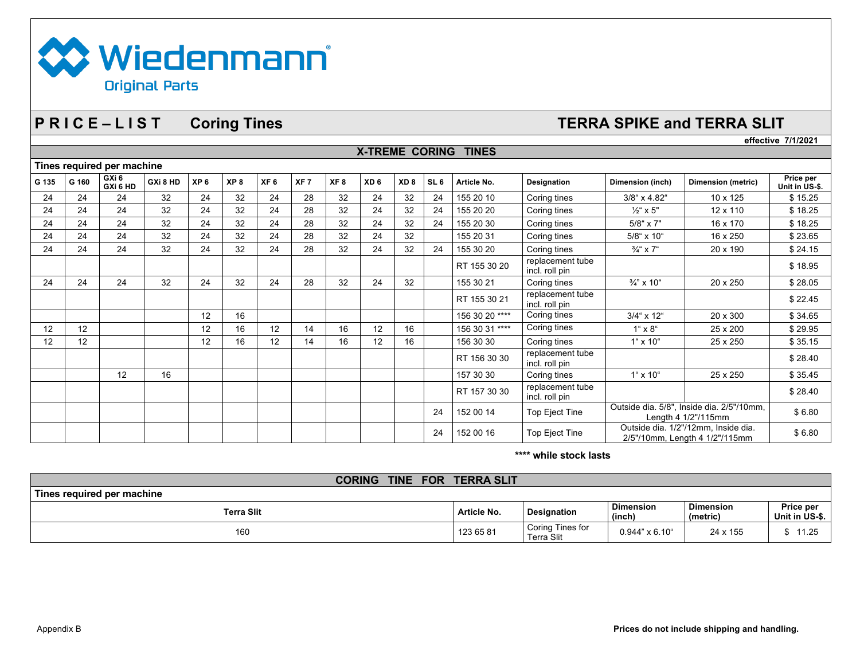

### **P R I C E – L I S T Coring Tines TERRA SPIKE and TERRA SLIT**

|                            |       |                   |          |                 |                 |                 |                 |                 |                       |                 |                 |                |                                    | effective 7/1/2021                                                    |                                                                  |                             |
|----------------------------|-------|-------------------|----------|-----------------|-----------------|-----------------|-----------------|-----------------|-----------------------|-----------------|-----------------|----------------|------------------------------------|-----------------------------------------------------------------------|------------------------------------------------------------------|-----------------------------|
|                            |       |                   |          |                 |                 |                 |                 |                 | <b>X-TREME CORING</b> |                 |                 | <b>TINES</b>   |                                    |                                                                       |                                                                  |                             |
| Tines required per machine |       |                   |          |                 |                 |                 |                 |                 |                       |                 |                 |                |                                    |                                                                       |                                                                  |                             |
| G 135                      | G 160 | GXi 6<br>GXi 6 HD | GXi 8 HD | XP <sub>6</sub> | XP <sub>8</sub> | XF <sub>6</sub> | XF <sub>7</sub> | XF <sub>8</sub> | XD <sub>6</sub>       | XD <sub>8</sub> | SL <sub>6</sub> | Article No.    | <b>Designation</b>                 | Dimension (inch)                                                      | <b>Dimension (metric)</b>                                        | Price per<br>Unit in US-\$. |
| 24                         | 24    | 24                | 32       | 24              | 32              | 24              | 28              | 32              | 24                    | 32              | 24              | 155 20 10      | Coring tines                       | 3/8" x 4.82"                                                          | 10 x 125                                                         | \$15.25                     |
| 24                         | 24    | 24                | 32       | 24              | 32              | 24              | 28              | 32              | 24                    | 32              | 24              | 155 20 20      | Coring tines                       | $\frac{1}{2}$ " x 5"                                                  | $12 \times 110$                                                  | \$18.25                     |
| 24                         | 24    | 24                | 32       | 24              | 32              | 24              | 28              | 32              | 24                    | 32              | 24              | 155 20 30      | Coring tines                       | $5/8$ " x 7"                                                          | 16 x 170                                                         | \$18.25                     |
| 24                         | 24    | 24                | 32       | 24              | 32              | 24              | 28              | 32              | 24                    | 32              |                 | 155 20 31      | Coring tines                       | 5/8" x 10"                                                            | 16 x 250                                                         | \$23.65                     |
| 24                         | 24    | 24                | 32       | 24              | 32              | 24              | 28              | 32              | 24                    | 32              | 24              | 155 30 20      | Coring tines                       | $\frac{3}{4}$ " x 7"                                                  | 20 x 190                                                         | \$24.15                     |
|                            |       |                   |          |                 |                 |                 |                 |                 |                       |                 |                 | RT 155 30 20   | replacement tube<br>incl. roll pin |                                                                       |                                                                  | \$18.95                     |
| 24                         | 24    | 24                | 32       | 24              | 32              | 24              | 28              | 32              | 24                    | 32              |                 | 155 30 21      | Coring tines                       | 3/4" x 10"                                                            | 20 x 250                                                         | \$28.05                     |
|                            |       |                   |          |                 |                 |                 |                 |                 |                       |                 |                 | RT 155 30 21   | replacement tube<br>incl. roll pin |                                                                       |                                                                  | \$22.45                     |
|                            |       |                   |          | 12              | 16              |                 |                 |                 |                       |                 |                 | 156 30 20 **** | Coring tines                       | $3/4$ " x 12"                                                         | 20 x 300                                                         | \$34.65                     |
| 12                         | 12    |                   |          | 12              | 16              | 12              | 14              | 16              | 12                    | 16              |                 | 156 30 31 **** | Coring tines                       | $1^{\circ} \times 8^{\circ}$                                          | 25 x 200                                                         | \$29.95                     |
| 12                         | 12    |                   |          | 12              | 16              | 12              | 14              | 16              | 12                    | 16              |                 | 156 30 30      | Coring tines                       | $1^{\circ}$ x $10^{\circ}$                                            | 25 x 250                                                         | \$35.15                     |
|                            |       |                   |          |                 |                 |                 |                 |                 |                       |                 |                 | RT 156 30 30   | replacement tube<br>incl. roll pin |                                                                       |                                                                  | \$28.40                     |
|                            |       | 12                | 16       |                 |                 |                 |                 |                 |                       |                 |                 | 157 30 30      | Coring tines                       | $1^{\circ} \times 10^{\circ}$                                         | 25 x 250                                                         | \$35.45                     |
|                            |       |                   |          |                 |                 |                 |                 |                 |                       |                 |                 | RT 157 30 30   | replacement tube<br>incl. roll pin |                                                                       |                                                                  | \$28.40                     |
|                            |       |                   |          |                 |                 |                 |                 |                 |                       |                 | 24              | 152 00 14      | Top Eject Tine                     |                                                                       | Outside dia. 5/8", Inside dia. 2/5"/10mm,<br>Length 4 1/2"/115mm |                             |
|                            |       |                   |          |                 |                 |                 |                 |                 |                       |                 | 24              | 152 00 16      | Top Eject Tine                     | Outside dia. 1/2"/12mm, Inside dia.<br>2/5"/10mm, Length 4 1/2"/115mm |                                                                  | \$6.80                      |

**\*\*\*\* while stock lasts**

| <b>FOR</b><br><b>TINE</b><br><b>CORING</b> | <b>TERRA SLIT</b> |                                       |                            |                              |                             |
|--------------------------------------------|-------------------|---------------------------------------|----------------------------|------------------------------|-----------------------------|
| Tines required per machine_                |                   |                                       |                            |                              |                             |
| Terra Slit                                 | Article No.       | <b>Designation</b>                    | <b>Dimension</b><br>(inch) | <b>Dimension</b><br>(metric) | Price per<br>Unit in US-\$. |
| 160                                        | 123 65 81         | Coring Tines for<br><b>Terra Slit</b> | $0.944" \times 6.10"$      | 24 x 155                     | 11.25                       |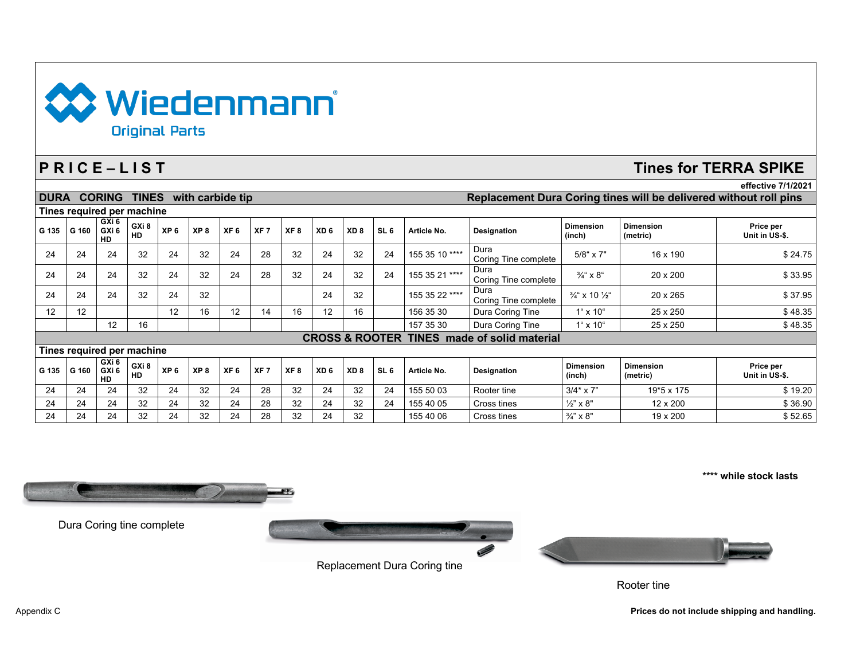

# **P R I C E – L I S T Tines for TERRA SPIKE**

|             |                                                        |                                        |                    |                 |                  |                 |                 |                 |                 |                 |                 |                |                              |                                      |                              | effective 7/1/2021                                                |
|-------------|--------------------------------------------------------|----------------------------------------|--------------------|-----------------|------------------|-----------------|-----------------|-----------------|-----------------|-----------------|-----------------|----------------|------------------------------|--------------------------------------|------------------------------|-------------------------------------------------------------------|
| <b>DURA</b> |                                                        | <b>CORING</b>                          | <b>TINES</b>       |                 | with carbide tip |                 |                 |                 |                 |                 |                 |                |                              |                                      |                              | Replacement Dura Coring tines will be delivered without roll pins |
|             | Tines required per machine                             |                                        |                    |                 |                  |                 |                 |                 |                 |                 |                 |                |                              |                                      |                              |                                                                   |
| G 135       | G 160                                                  | GXi 6<br>GXi <sub>6</sub><br><b>HD</b> | GXi 8<br><b>HD</b> | XP <sub>6</sub> | XP <sub>8</sub>  | XF <sub>6</sub> | XF <sub>7</sub> | XF <sub>8</sub> | XD <sub>6</sub> | XD <sub>8</sub> | SL <sub>6</sub> | Article No.    | <b>Designation</b>           | <b>Dimension</b><br>(inch)           | <b>Dimension</b><br>(metric) | Price per<br>Unit in US-\$.                                       |
| 24          | 24                                                     | 24                                     | 32                 | 24              | 32               | 24              | 28              | 32              | 24              | 32              | 24              | 155 35 10 **** | Dura<br>Coring Tine complete | $5/8$ " x $7"$                       | 16 x 190                     | \$24.75                                                           |
| 24          | 24                                                     | 24                                     | 32                 | 24              | 32               | 24              | 28              | 32              | 24              | 32              | 24              | 155 35 21 **** | Dura<br>Coring Tine complete | $\frac{3}{4}$ " x 8"                 | 20 x 200                     | \$33.95                                                           |
| 24          | 24                                                     | 24                                     | 32                 | 24              | 32               |                 |                 |                 | 24              | 32              |                 | 155 35 22 **** | Dura<br>Coring Tine complete | $\frac{3}{4}$ " x 10 $\frac{1}{2}$ " | 20 x 265                     | \$37.95                                                           |
| 12          | 12                                                     |                                        |                    | 12              | 16               | 12              | 14              | 16              | 12              | 16              |                 | 156 35 30      | Dura Coring Tine             | $1^{\circ}$ x $10^{\circ}$           | 25 x 250                     | \$48.35                                                           |
|             |                                                        | 12                                     | 16                 |                 |                  |                 |                 |                 |                 |                 |                 | 157 35 30      | Dura Coring Tine             | $1^{\circ} \times 10^{\circ}$        | 25 x 250                     | \$48.35                                                           |
|             | <b>CROSS &amp; ROOTER TINES made of solid material</b> |                                        |                    |                 |                  |                 |                 |                 |                 |                 |                 |                |                              |                                      |                              |                                                                   |
|             | Tines required per machine                             |                                        |                    |                 |                  |                 |                 |                 |                 |                 |                 |                |                              |                                      |                              |                                                                   |
| G 135       | G 160                                                  | GXi 6<br>GXi 6<br><b>HD</b>            | GXi 8<br><b>HD</b> | XP <sub>6</sub> | XP <sub>8</sub>  | XF <sub>6</sub> | XF <sub>7</sub> | XF <sub>8</sub> | XD <sub>6</sub> | XD <sub>8</sub> | SL <sub>6</sub> | Article No.    | <b>Designation</b>           | <b>Dimension</b><br>(inch)           | <b>Dimension</b><br>(metric) | Price per<br>Unit in US-\$.                                       |
| 24          | 24                                                     | 24                                     | 32                 | 24              | 32               | 24              | 28              | 32              | 24              | 32              | 24              | 155 50 03      | Rooter tine                  | $3/4$ * x 7"                         | 19*5 x 175                   | \$19.20                                                           |
| 24          | 24                                                     | 24                                     | 32                 | 24              | 32               | 24              | 28              | 32              | 24              | 32              | 24              | 155 40 05      | Cross tines                  | $\frac{1}{2}$ " x 8"                 | 12 x 200                     | \$36.90                                                           |
| 24          | 24                                                     | 24                                     | 32                 | 24              | 32               | 24              | 28              | 32              | 24              | 32              |                 | 155 40 06      | Cross tines                  | $\frac{3}{4}$ " x 8"                 | 19 x 200                     | \$52.65                                                           |



Dura Coring tine complete



Replacement Dura Coring tine



Rooter tine

Appendix C **Prices do not include shipping and handling.** Appendix C **Prices do not include shipping and handling.** 

**\*\*\*\* while stock lasts**